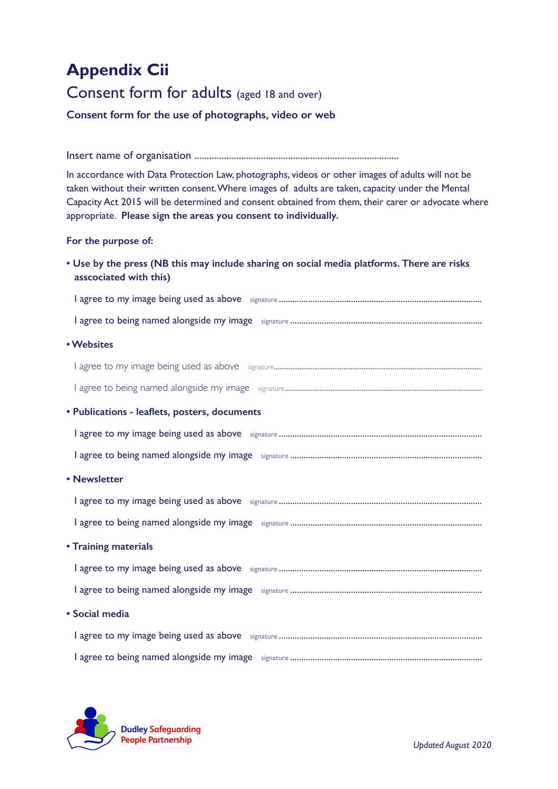## **Appendix Cii**

## Consent form for adults (aged 18 and over)

**Consent form for the use of photographs, video or web** 

Insert name of organisation ...................................................................................

In accordance with Data Protection Law, photographs, videos or other images of adults will not be taken without their written consent. Where images of adults are taken, capacity under the Mental Capacity Act 2015 will be determined and consent obtained from them, their carer or advocate where appropriate. **Please sign the areas you consent to individually.**

## **For the purpose of:**

**• Use by the press (NB this may include sharing on social media platforms. There are risks asscociated with this)**

I agree to my image being used as above signature .......................................................................................... I agree to being named alongside my image signature ..................................................................................... **• Websites** I agree to my image being used as above signature.................................................................................................................. I agree to being named alongside my image signature............................................................................................................ **• Publications - leaflets, posters, documents** I agree to my image being used as above signature .......................................................................................... I agree to being named alongside my image signature ..................................................................................... **• Newsletter**  I agree to my image being used as above signature .......................................................................................... I agree to being named alongside my image signature ..................................................................................... **• Training materials**  I agree to my image being used as above signature .......................................................................................... I agree to being named alongside my image signature ..................................................................................... **• Social media**  I agree to my image being used as above signature .......................................................................................... I agree to being named alongside my image signature .....................................................................................